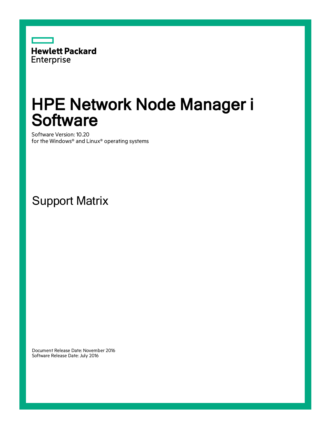

# HPE Network Node Manager i **Software**

Software Version: 10.20 for the Windows® and Linux® operating systems

Support Matrix

Document Release Date: November 2016 Software Release Date: July 2016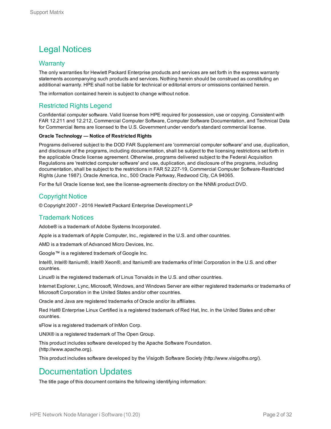## Legal Notices

#### **Warranty**

The only warranties for Hewlett Packard Enterprise products and services are set forth in the express warranty statements accompanying such products and services. Nothing herein should be construed as constituting an additional warranty. HPE shall not be liable for technical or editorial errors or omissions contained herein.

The information contained herein is subject to change without notice.

#### Restricted Rights Legend

Confidential computer software. Valid license from HPE required for possession, use or copying. Consistent with FAR 12.211 and 12.212, Commercial Computer Software, Computer Software Documentation, and Technical Data for Commercial Items are licensed to the U.S. Government under vendor's standard commercial license.

#### **Oracle Technology — Notice of Restricted Rights**

Programs delivered subject to the DOD FAR Supplement are 'commercial computer software' and use, duplication, and disclosure of the programs, including documentation, shall be subject to the licensing restrictions set forth in the applicable Oracle license agreement. Otherwise, programs delivered subject to the Federal Acquisition Regulations are 'restricted computer software' and use, duplication, and disclosure of the programs, including documentation, shall be subject to the restrictions in FAR 52.227-19, Commercial Computer Software-Restricted Rights (June 1987). Oracle America, Inc., 500 Oracle Parkway, Redwood City, CA 94065.

For the full Oracle license text, see the license-agreements directory on the NNMi product DVD.

#### Copyright Notice

© Copyright 2007 - 2016 Hewlett Packard Enterprise Development LP

#### Trademark Notices

Adobe® is a trademark of Adobe Systems Incorporated.

Apple is a trademark of Apple Computer, Inc., registered in the U.S. and other countries.

AMD is a trademark of Advanced Micro Devices, Inc.

Google™ is a registered trademark of Google Inc.

Intel®, Intel® Itanium®, Intel® Xeon®, and Itanium® are trademarks of Intel Corporation in the U.S. and other countries.

Linux® is the registered trademark of Linus Torvalds in the U.S. and other countries.

Internet Explorer, Lync, Microsoft, Windows, and Windows Server are either registered trademarks or trademarks of Microsoft Corporation in the United States and/or other countries.

Oracle and Java are registered trademarks of Oracle and/or its affiliates.

Red Hat® Enterprise Linux Certified is a registered trademark of Red Hat, Inc. in the United States and other countries.

sFlow is a registered trademark of InMon Corp.

UNIX® is a registered trademark of The Open Group.

This product includes software developed by the Apache Software Foundation. (http://www.apache.org).

This product includes software developed by the Visigoth Software Society (http://www.visigoths.org/).

### Documentation Updates

The title page of this document contains the following identifying information: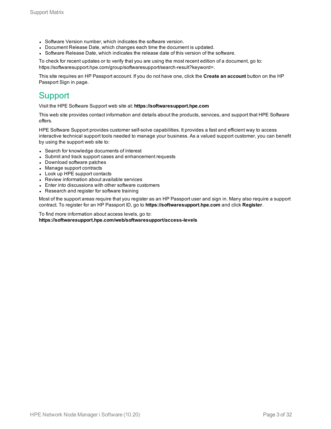- Software Version number, which indicates the software version.
- Document Release Date, which changes each time the document is updated.
- <sup>l</sup> Software Release Date, which indicates the release date of this version of the software.

To check for recent updates or to verify that you are using the most recent edition of a document, go to: https://softwaresupport.hpe.com/group/softwaresupport/search-result?keyword=.

This site requires an HP Passport account. If you do not have one, click the **Create an account** button on the HP Passport Sign in page.

### **Support**

Visit the HPE Software Support web site at: **https://softwaresupport.hpe.com**

This web site provides contact information and details about the products, services, and support that HPE Software offers.

HPE Software Support provides customer self-solve capabilities. It provides a fast and efficient way to access interactive technical support tools needed to manage your business. As a valued support customer, you can benefit by using the support web site to:

- Search for knowledge documents of interest
- Submit and track support cases and enhancement requests
- Download software patches
- Manage support contracts
- Look up HPE support contacts
- Review information about available services
- Enter into discussions with other software customers
- Research and register for software training

Most of the support areas require that you register as an HP Passport user and sign in. Many also require a support contract. To register for an HP Passport ID, go to **https://softwaresupport.hpe.com** and click **Register**.

To find more information about access levels, go to: **https://softwaresupport.hpe.com/web/softwaresupport/access-levels**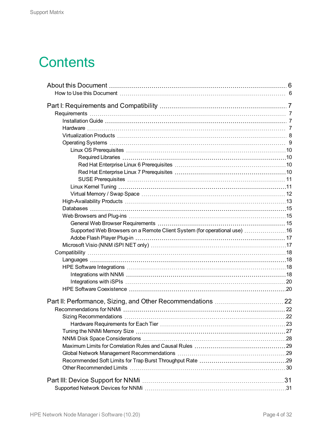# **Contents**

| Supported Web Browsers on a Remote Client System (for operational use) 16 |  |
|---------------------------------------------------------------------------|--|
|                                                                           |  |
|                                                                           |  |
|                                                                           |  |
|                                                                           |  |
|                                                                           |  |
|                                                                           |  |
|                                                                           |  |
|                                                                           |  |
|                                                                           |  |
|                                                                           |  |
|                                                                           |  |
|                                                                           |  |
|                                                                           |  |
|                                                                           |  |
|                                                                           |  |
|                                                                           |  |
|                                                                           |  |
|                                                                           |  |
|                                                                           |  |
|                                                                           |  |
|                                                                           |  |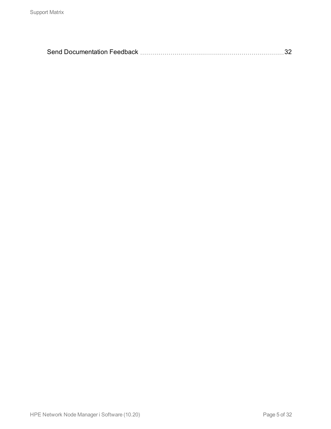|--|--|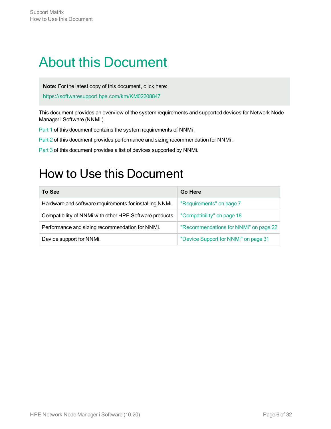# <span id="page-5-0"></span>About this Document

**Note:** For the latest copy of this document, click here:

<https://softwaresupport.hpe.com/km/KM02208847>

This document provides an overview of the system requirements and supported devices for Network Node Manager i Software (NNMi ).

[Part](#page-6-0) 1 of this document contains the system requirements of NNMi.

[Part](#page-21-0) 2 of this document provides performance and sizing recommendation for NNMi.

<span id="page-5-1"></span>[Part](#page-30-0) 3 of this document provides a list of devices supported by NNMi.

# How to Use this Document

| To See                                                  | Go Here                               |
|---------------------------------------------------------|---------------------------------------|
| Hardware and software requirements for installing NNMi. | "Requirements" on page 7              |
| Compatibility of NNMi with other HPE Software products. | "Compatibility" on page 18            |
| Performance and sizing recommendation for NNMi.         | "Recommendations for NNMi" on page 22 |
| Device support for NNMi.                                | "Device Support for NNMi" on page 31  |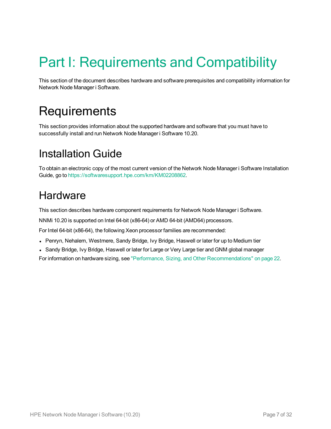# <span id="page-6-0"></span>Part I: Requirements and Compatibility

<span id="page-6-1"></span>This section of the document describes hardware and software prerequisites and compatibility information for Network Node Manager i Software.

# **Requirements**

<span id="page-6-2"></span>This section provides information about the supported hardware and software that you must have to successfully install and run Network Node Manager i Software 10.20.

# Installation Guide

<span id="page-6-3"></span>To obtain an electronic copy of the most current version of the Network Node Manager i Software Installation Guide, go to [https://softwaresupport.hpe.com/km/KM02208862.](https://softwaresupport.hpe.com/km/KM02208862)

## **Hardware**

This section describes hardware component requirements for Network Node Manager i Software.

NNMi 10.20 is supported on Intel 64-bit (x86-64) or AMD 64-bit (AMD64) processors.

For Intel 64-bit (x86-64), the following Xeon processor families are recommended:

- Penryn, Nehalem, Westmere, Sandy Bridge, Ivy Bridge, Haswell or later for up to Medium tier
- Sandy Bridge, Ivy Bridge, Haswell or later for Large or Very Large tier and GNM global manager

For information on hardware sizing, see "Performance, Sizing, and Other [Recommendations"](#page-21-0) on page 22.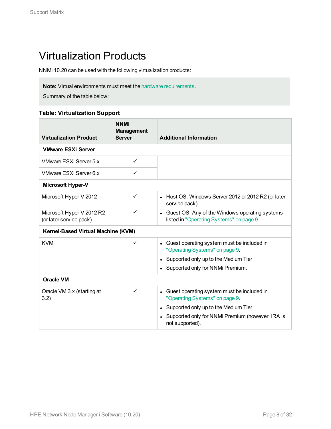# <span id="page-7-0"></span>Virtualization Products

NNMi 10.20 can be used with the following virtualization products:

**Note:** Virtual environments must meet the hardware [requirements](#page-6-3).

Summary of the table below:

#### **Table: Virtualization Support**

| <b>Virtualization Product</b>                        | <b>NNMi</b><br><b>Management</b><br><b>Server</b> | <b>Additional Information</b>                                                              |
|------------------------------------------------------|---------------------------------------------------|--------------------------------------------------------------------------------------------|
| <b>VMware ESXi Server</b>                            |                                                   |                                                                                            |
| VMware ESXi Server 5.x                               | $\checkmark$                                      |                                                                                            |
| VMware ESXi Server 6.x                               | ✓                                                 |                                                                                            |
| <b>Microsoft Hyper-V</b>                             |                                                   |                                                                                            |
| Microsoft Hyper-V 2012                               | $\checkmark$                                      | • Host OS: Windows Server 2012 or 2012 R2 (or later<br>service pack)                       |
| Microsoft Hyper-V 2012 R2<br>(or later service pack) | ✓                                                 | Guest OS: Any of the Windows operating systems<br>listed in "Operating Systems" on page 9. |
| Kernel-Based Virtual Machine (KVM)                   |                                                   |                                                                                            |
| <b>KVM</b>                                           | ✓                                                 | Guest operating system must be included in<br>"Operating Systems" on page 9.               |
|                                                      |                                                   | Supported only up to the Medium Tier                                                       |
|                                                      |                                                   | Supported only for NNMi Premium.                                                           |
| <b>Oracle VM</b>                                     |                                                   |                                                                                            |
| Oracle VM 3.x (starting at<br>3.2)                   | $\checkmark$                                      | Guest operating system must be included in<br>"Operating Systems" on page 9.               |
|                                                      |                                                   | Supported only up to the Medium Tier                                                       |
|                                                      |                                                   | Supported only for NNMi Premium (however; iRA is<br>not supported).                        |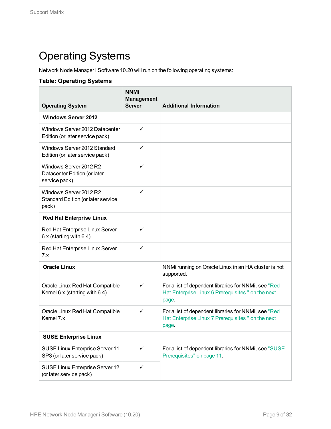# <span id="page-8-0"></span>Operating Systems

Network Node Manager i Software 10.20 will run on the following operating systems:

#### **Table: Operating Systems**

| <b>Operating System</b>                                                 | <b>NNMi</b><br><b>Management</b><br><b>Server</b> | <b>Additional Information</b>                                                                                       |
|-------------------------------------------------------------------------|---------------------------------------------------|---------------------------------------------------------------------------------------------------------------------|
| <b>Windows Server 2012</b>                                              |                                                   |                                                                                                                     |
| Windows Server 2012 Datacenter<br>Edition (or later service pack)       | $\checkmark$                                      |                                                                                                                     |
| Windows Server 2012 Standard<br>Edition (or later service pack)         | ✓                                                 |                                                                                                                     |
| Windows Server 2012 R2<br>Datacenter Edition (or later<br>service pack) | ✓                                                 |                                                                                                                     |
| Windows Server 2012 R2<br>Standard Edition (or later service<br>pack)   | ✓                                                 |                                                                                                                     |
| <b>Red Hat Enterprise Linux</b>                                         |                                                   |                                                                                                                     |
| Red Hat Enterprise Linux Server<br>6.x (starting with 6.4)              | $\checkmark$                                      |                                                                                                                     |
| Red Hat Enterprise Linux Server<br>7.x                                  | $\checkmark$                                      |                                                                                                                     |
| <b>Oracle Linux</b>                                                     |                                                   | NNMi running on Oracle Linux in an HA cluster is not<br>supported.                                                  |
| Oracle Linux Red Hat Compatible<br>Kernel 6.x (starting with 6.4)       | ✓                                                 | For a list of dependent libraries for NNMi, see "Red<br>Hat Enterprise Linux 6 Prerequisites " on the next<br>page. |
| Oracle Linux Red Hat Compatible<br>Kernel 7.x                           | ✓                                                 | For a list of dependent libraries for NNMi, see "Red<br>Hat Enterprise Linux 7 Prerequisites " on the next<br>page. |
| <b>SUSE Enterprise Linux</b>                                            |                                                   |                                                                                                                     |
| SUSE Linux Enterprise Server 11<br>SP3 (or later service pack)          | ✓                                                 | For a list of dependent libraries for NNMi, see "SUSE<br>Prerequisites" on page 11.                                 |
| SUSE Linux Enterprise Server 12<br>(or later service pack)              | ✓                                                 |                                                                                                                     |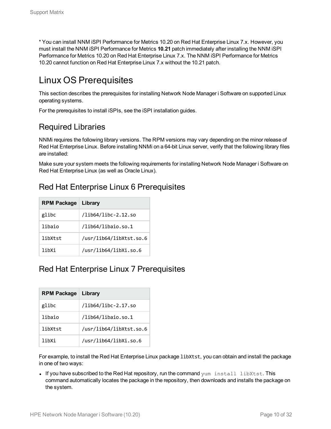\* You can install NNM iSPI Performance for Metrics 10.20 on Red Hat Enterprise Linux 7.x. However, you must install the NNM iSPI Performance for Metrics **10.21** patch immediately after installing the NNM iSPI Performance for Metrics 10.20 on Red Hat Enterprise Linux 7.x. The NNM iSPI Performance for Metrics 10.20 cannot function on Red Hat Enterprise Linux 7.x without the 10.21 patch.

## <span id="page-9-0"></span>Linux OS Prerequisites

This section describes the prerequisites for installing Network Node Manager i Software on supported Linux operating systems.

<span id="page-9-1"></span>For the prerequisites to install iSPIs, see the iSPI installation guides.

### Required Libraries

NNMi requires the following library versions. The RPM versions may vary depending on the minor release of Red Hat Enterprise Linux. Before installing NNMi on a 64-bit Linux server, verify that the following library files are installed:

Make sure your system meets the following requirements for installing Network Node Manager i Software on Red Hat Enterprise Linux (as well as Oracle Linux).

### <span id="page-9-2"></span>Red Hat Enterprise Linux 6 Prerequisites

| <b>RPM Package</b> | Library                 |
|--------------------|-------------------------|
| glibc              | /lib64/libc-2.12.so     |
| libaio             | /lib64/libaio.so.1      |
| libXtst            | /usr/lib64/libXtst.so.6 |
| lihXi              | /usr/lib64/libXi.so.6   |

### <span id="page-9-3"></span>Red Hat Enterprise Linux 7 Prerequisites

| <b>RPM Package</b> | Library                 |
|--------------------|-------------------------|
| glibc              | /lib64/libc-2.17.so     |
| libaio             | /lib64/libaio.so.1      |
| libXtst            | /usr/lib64/libXtst.so.6 |
| lihXi              | /usr/lib64/libXi.so.6   |

For example, to install the Red Hat Enterprise Linux package libXtst, you can obtain and install the package in one of two ways:

• If you have subscribed to the Red Hat repository, run the command yum install libXtst. This command automatically locates the package in the repository, then downloads and installs the package on the system.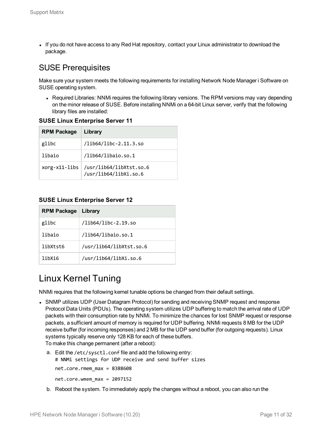• If you do not have access to any Red Hat repository, contact your Linux administrator to download the package.

### <span id="page-10-0"></span>SUSE Prerequisites

Make sure your system meets the following requirements for installing Network Node Manager i Software on SUSE operating system.

• Required Libraries: NNMi requires the following library versions. The RPM versions may vary depending on the minor release of SUSE. Before installing NNMi on a 64-bit Linux server, verify that the following library files are installed:

#### **SUSE Linux Enterprise Server 11**

| <b>RPM Package</b> | Library                                          |
|--------------------|--------------------------------------------------|
| glibc              | /lib64/libc-2.11.3.so                            |
| libaio             | /lib64/libaio.so.1                               |
| xorg-x11-libs      | /usr/lib64/libXtst.so.6<br>/usr/lib64/libXi.so.6 |

#### **SUSE Linux Enterprise Server 12**

| <b>RPM Package</b> | Library                 |
|--------------------|-------------------------|
| glibc              | /lib64/libc-2.19.so     |
| libaio             | /lib64/libaio.so.1      |
| libXtst6           | /usr/lib64/libXtst.so.6 |
| libXi6             | /usr/lib64/libXi.so.6   |

### <span id="page-10-1"></span>Linux Kernel Tuning

NNMi requires that the following kernel tunable options be changed from their default settings.

- SNMP utilizes UDP (User Datagram Protocol) for sending and receiving SNMP request and response Protocol Data Units (PDUs). The operating system utilizes UDP buffering to match the arrival rate of UDP packets with their consumption rate by NNMi. To minimize the chances for lost SNMP request or response packets, a sufficient amount of memory is required for UDP buffering. NNMi requests 8 MB for the UDP receive buffer (for incoming responses) and 2 MB for the UDP send buffer (for outgoing requests). Linux systems typically reserve only 128 KB for each of these buffers. To make this change permanent (after a reboot):
	- a. Edit the /etc/sysctl.conf file and add the following entry: # NNMi settings for UDP receive and send buffer sizes net.core.rmem\_max = 8388608 net.core.wmem\_max = 2097152
	- b. Reboot the system. To immediately apply the changes without a reboot, you can also run the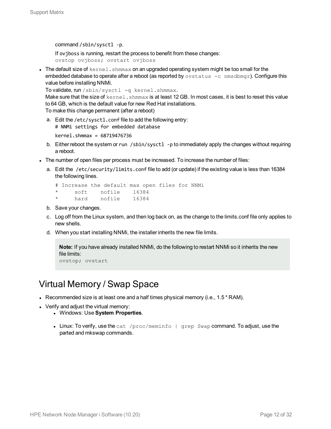command /sbin/sysctl -p.

If ovjboss is running, restart the process to benefit from these changes: ovstop ovjboss; ovstart ovjboss

 $\bullet$  The default size of  $\text{kernel}$ . shmmax on an upgraded operating system might be too small for the embedded database to operate after a reboot (as reported by  $\text{ovstatus } -\text{c}$  nmsdbmgr). Configure this value before installing NNMi.

```
To validate, run / sbin/sysctl -q kernel.shmmax.
```
Make sure that the size of kernel.shmmax is at least 12 GB. In most cases, it is best to reset this value to 64 GB, which is the default value for new Red Hat installations.

To make this change permanent (after a reboot)

a. Edit the /etc/sysctl.conf file to add the following entry: # NNMi settings for embedded database

```
kernel.shmmax = 68719476736
```
- b. Either reboot the system or run /sbin/sysct1 -p to immediately apply the changes without requiring a reboot.
- The number of open files per process must be increased. To increase the number of files:
	- a. Edit the /etc/security/limits.conf file to add (or update) if the existing value is less than 16384 the following lines.

```
# Increase the default max open files for NNMi
     soft nofile 16384
*     hard    nofile    16384
```
- b. Save your changes.
- c. Log off from the Linux system, and then log back on, as the change to the limits.conf file only applies to new shells.
- d. When you start installing NNMi, the installer inherits the new file limits.

```
Note: If you have already installed NNMi, do the following to restart NNMi so it inherits the new
file limits:
ovstop; ovstart
```
## <span id="page-11-0"></span>Virtual Memory / Swap Space

- Recommended size is at least one and a half times physical memory (i.e.,  $1.5 * RAM$ ).
- Verify and adjust the virtual memory:
	- <sup>l</sup> Windows: Use **System Properties**.
	- Linux: To verify, use the cat /proc/meminfo  $|$  grep Swap command. To adjust, use the parted and mkswap commands.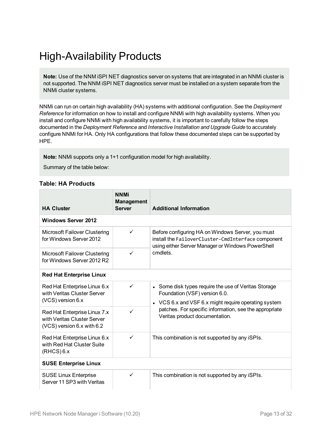# <span id="page-12-0"></span>High-Availability Products

**Note:** Use of the NNM iSPI NET diagnostics server on systems that are integrated in an NNMi cluster is not supported. The NNM iSPI NET diagnostics server must be installed on a system separate from the NNMi cluster systems.

NNMi can run on certain high availability (HA) systems with additional configuration. See the *Deployment Reference* for information on how to install and configure NNMi with high availability systems. When you install and configure NNMi with high availability systems, it is important to carefully follow the steps documented in the *Deployment Reference* and *Interactive Installation and Upgrade Guide* to accurately configure NNMi for HA. Only HA configurations that follow these documented steps can be supported by HPE.

**Note:** NNMi supports only a 1+1 configuration model for high availability.

Summary of the table below:

#### **Table: HA Products**

| <b>HA Cluster</b>                                                                         | <b>NNMi</b><br><b>Management</b><br><b>Server</b> | <b>Additional Information</b>                                                                                                                                |
|-------------------------------------------------------------------------------------------|---------------------------------------------------|--------------------------------------------------------------------------------------------------------------------------------------------------------------|
| <b>Windows Server 2012</b>                                                                |                                                   |                                                                                                                                                              |
| Microsoft Failover Clustering<br>for Windows Server 2012                                  | ✓                                                 | Before configuring HA on Windows Server, you must<br>install the FailoverCluster-CmdInterface component<br>using either Server Manager or Windows PowerShell |
| <b>Microsoft Failover Clustering</b><br>for Windows Server 2012 R2                        | ✓                                                 | cmdlets.                                                                                                                                                     |
| <b>Red Hat Enterprise Linux</b>                                                           |                                                   |                                                                                                                                                              |
| Red Hat Enterprise Linux 6.x<br>with Veritas Cluster Server<br>(VCS) version 6.x          | ✓                                                 | • Some disk types require the use of Veritas Storage<br>Foundation (VSF) version 6.0.                                                                        |
| Red Hat Enterprise Linux 7.x<br>with Veritas Cluster Server<br>(VCS) version 6.x with 6.2 | ✓                                                 | • VCS 6.x and VSF 6.x might require operating system<br>patches. For specific information, see the appropriate<br>Veritas product documentation.             |
| Red Hat Enterprise Linux 6.x<br>with Red Hat Cluster Suite<br>$(RHCS)$ 6.x                | $\checkmark$                                      | This combination is not supported by any iSPIs.                                                                                                              |
| <b>SUSE Enterprise Linux</b>                                                              |                                                   |                                                                                                                                                              |
| <b>SUSE Linux Enterprise</b><br>Server 11 SP3 with Veritas                                | ✓                                                 | This combination is not supported by any iSPIs.                                                                                                              |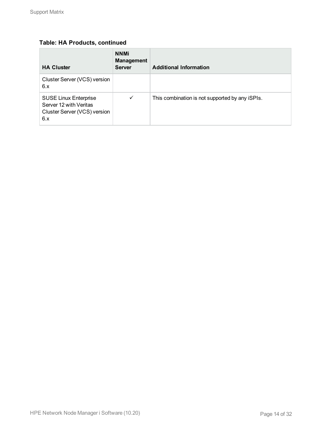#### **Table: HA Products, continued**

| <b>HA Cluster</b>                                                                             | <b>NNMi</b><br><b>Management</b><br><b>Server</b> | <b>Additional Information</b>                   |
|-----------------------------------------------------------------------------------------------|---------------------------------------------------|-------------------------------------------------|
| Cluster Server (VCS) version<br>6.x                                                           |                                                   |                                                 |
| <b>SUSE Linux Enterprise</b><br>Server 12 with Veritas<br>Cluster Server (VCS) version<br>6.x | $\checkmark$                                      | This combination is not supported by any iSPIs. |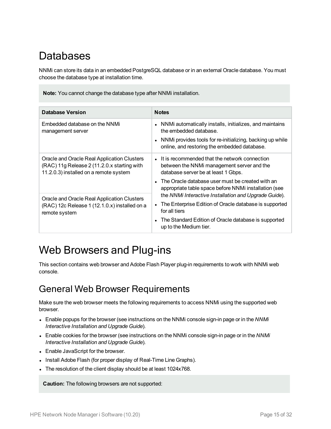# <span id="page-14-0"></span>Databases

NNMi can store its data in an embedded PostgreSQL database or in an external Oracle database. You must choose the database type at installation time.

**Note:** You cannot change the database type after NNMi installation.

| <b>Database Version</b>                                                                                                              | <b>Notes</b>                                                                                                                                                                                                                                        |
|--------------------------------------------------------------------------------------------------------------------------------------|-----------------------------------------------------------------------------------------------------------------------------------------------------------------------------------------------------------------------------------------------------|
| Embedded database on the NNMi<br>management server                                                                                   | NNMi automatically installs, initializes, and maintains<br>the embedded database.<br>NNMi provides tools for re-initializing, backing up while<br>online, and restoring the embedded database.                                                      |
| Oracle and Oracle Real Application Clusters<br>(RAC) 11g Release 2 (11.2.0.x starting with<br>11.2.0.3) installed on a remote system | • It is recommended that the network connection<br>between the NNMi management server and the<br>database server be at least 1 Gbps.<br>• The Oracle database user must be created with an<br>appropriate table space before NNMi installation (see |
| Oracle and Oracle Real Application Clusters<br>(RAC) 12c Release 1 (12.1.0.x) installed on a<br>remote system                        | the NNMi Interactive Installation and Upgrade Guide).<br>The Enterprise Edition of Oracle database is supported<br>for all tiers<br>The Standard Edition of Oracle database is supported<br>up to the Medium tier.                                  |

## <span id="page-14-1"></span>Web Browsers and Plug-ins

This section contains web browser and Adobe Flash Player plug-in requirements to work with NNMi web console.

### <span id="page-14-2"></span>General Web Browser Requirements

Make sure the web browser meets the following requirements to access NNMi using the supported web browser.

- <sup>l</sup> Enable popups for the browser (see instructions on the NNMi console sign-in page or in the *NNMi Interactive Installation and Upgrade Guide*).
- Enable cookies for the browser (see instructions on the NNMi console sign-in page or in the *NNMi Interactive Installation and Upgrade Guide*).
- Enable JavaScript for the browser.
- Install Adobe Flash (for proper display of Real-Time Line Graphs).
- The resolution of the client display should be at least 1024x768.

**Caution:** The following browsers are not supported: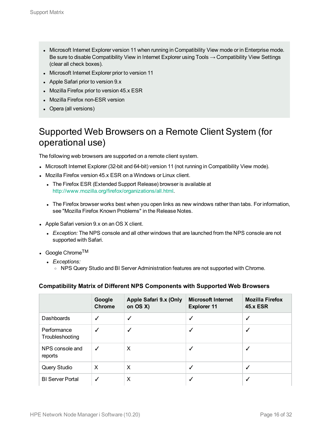- Microsoft Internet Explorer version 11 when running in Compatibility View mode or in Enterprise mode. Be sure to disable Compatibility View in Internet Explorer using Tools  $\rightarrow$  Compatibility View Settings (clear all check boxes).
- Microsoft Internet Explorer prior to version 11
- Apple Safari prior to version 9.x
- Mozilla Firefox prior to version 45.x ESR
- Mozilla Firefox non-ESR version
- Opera (all versions)

## <span id="page-15-0"></span>Supported Web Browsers on a Remote Client System (for operational use)

The following web browsers are supported on a remote client system.

- Microsoft Internet Explorer (32-bit and 64-bit) version 11 (not running in Compatibility View mode).
- Mozilla Firefox version 45.x ESR on a Windows or Linux client.
	- The Firefox ESR (Extended Support Release) browser is available at <http://www.mozilla.org/firefox/organizations/all.html>.
	- The Firefox browser works best when you open links as new windows rather than tabs. For information, see "Mozilla Firefox Known Problems" in the Release Notes.
- Apple Safari version 9.x on an OS X client.
	- Exception: The NPS console and all other windows that are launched from the NPS console are not supported with Safari.
- Google Chrome<sup>TM</sup>
	- **·** *Exceptions:* 
		- o NPS Query Studio and BI Server Administration features are not supported with Chrome.

#### **Compatibility Matrix of Different NPS Components with Supported Web Browsers**

|                                | Google<br><b>Chrome</b> | Apple Safari 9.x (Only<br>on $OS X$ ) | <b>Microsoft Internet</b><br><b>Explorer 11</b> | <b>Mozilla Firefox</b><br><b>45.x ESR</b> |
|--------------------------------|-------------------------|---------------------------------------|-------------------------------------------------|-------------------------------------------|
| Dashboards                     | ✓                       | ✓                                     | ✓                                               | $\checkmark$                              |
| Performance<br>Troubleshooting | ✓                       | ✓                                     | √                                               | $\checkmark$                              |
| NPS console and<br>reports     | ✓                       | X                                     | √                                               |                                           |
| Query Studio                   | X                       | X                                     | √                                               | √                                         |
| <b>BI Server Portal</b>        | ✓                       | X                                     | ┙                                               |                                           |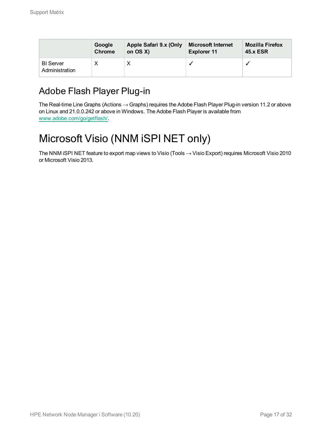|                                    | Google        | Apple Safari 9.x (Only | <b>Microsoft Internet</b> | <b>Mozilla Firefox</b> |
|------------------------------------|---------------|------------------------|---------------------------|------------------------|
|                                    | <b>Chrome</b> | on $OS X$ )            | <b>Explorer 11</b>        | <b>45.x ESR</b>        |
| <b>BI</b> Server<br>Administration |               |                        |                           |                        |

## <span id="page-16-0"></span>Adobe Flash Player Plug-in

The Real-time Line Graphs (Actions → Graphs) requires the Adobe Flash Player Plug-in version 11.2 or above on Linux and 21.0.0.242 or above in Windows. The Adobe Flash Player is available from www.adobe.com/go/getflash/.

# <span id="page-16-1"></span>Microsoft Visio (NNM iSPI NET only)

The NNM iSPI NET feature to export map views to Visio (Tools → Visio Export) requires Microsoft Visio 2010 or Microsoft Visio 2013.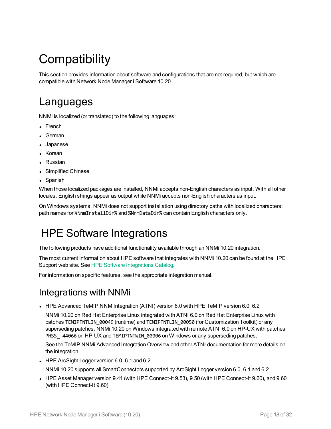# <span id="page-17-0"></span>**Compatibility**

<span id="page-17-1"></span>This section provides information about software and configurations that are not required, but which are compatible with Network Node Manager i Software 10.20.

## Languages

NNMi is localized (or translated) to the following languages:

- French
- German
- Japanese
- Korean
- Russian
- Simplified Chinese
- Spanish

When those localized packages are installed, NNMi accepts non-English characters as input. With all other locales, English strings appear as output while NNMi accepts non-English characters as input.

<span id="page-17-2"></span>On Windows systems, NNMi does not support installation using directory paths with localized characters; path names for %NnmInstallDir% and %NnmDataDir% can contain English characters only.

# HPE Software Integrations

The following products have additional functionality available through an NNMi 10.20 integration.

The most current information about HPE software that integrates with NNMi 10.20 can be found at the HPE Support web site. See HPE Software [Integrations](https://softwaresupport.hpe.com/group/softwaresupport/search-result/-/facetsearch/document/KM01663677) Catalog.

<span id="page-17-3"></span>For information on specific features, see the appropriate integration manual.

### Integrations with NNMi

• HPE Advanced TeMIP NNM Integration (ATNI) version 6.0 with HPE TeMIP version 6.0, 6.2

NNMi 10.20 on Red Hat Enterprise Linux integrated with ATNI 6.0 on Red Hat Enterprise Linux with patches TEMIPTNTLIN\_00049 (runtime) and TEMIPTNTLIN\_00050 (for Customization Toolkit) or any superseding patches. NNMi 10.20 on Windows integrated with remote ATNI 6.0 on HP-UX with patches PHSS 44066 on HP-UX and TEMIPTNTWIN 00006 on Windows or any superseding patches.

See the TeMIP NNMi Advanced Integration Overview and other ATNI documentation for more details on the integration.

- HPE ArcSight Logger version 6.0, 6.1 and 6.2 NNMi 10.20 supports all SmartConnectors supported by ArcSight Logger version 6.0, 6.1 and 6.2.
- I HPE Asset Manager version 9.41 (with HPE Connect-It 9.53), 9.50 (with HPE Connect-It 9.60), and 9.60 (with HPE Connect-It 9.60)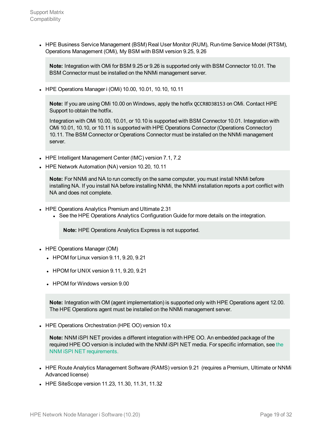• HPE Business Service Management (BSM) Real User Monitor (RUM), Run-time Service Model (RTSM), Operations Management (OMi), My BSM with BSM version 9.25, 9.26

**Note:** Integration with OMi for BSM 9.25 or 9.26 is supported only with BSM Connector 10.01. The BSM Connector must be installed on the NNMi management server.

• HPE Operations Manager i (OMi) 10.00, 10.01, 10.10, 10.11

**Note:** If you are using OMi 10.00 on Windows, apply the hotfix QCCR8D38153 on OMi. Contact HPE Support to obtain the hotfix.

Integration with OMi 10.00, 10.01, or 10.10 is supported with BSM Connector 10.01. Integration with OMi 10.01, 10.10, or 10.11 is supported with HPE Operations Connector (Operations Connector) 10.11. The BSM Connector or Operations Connector must be installed on the NNMi management server.

- HPE Intelligent Management Center (IMC) version 7.1, 7.2
- HPE Network Automation (NA) version 10.20, 10.11

**Note:** For NNMi and NA to run correctly on the same computer, you must install NNMi before installing NA. If you install NA before installing NNMi, the NNMi installation reports a port conflict with NA and does not complete.

- HPE Operations Analytics Premium and Ultimate 2.31
	- See the HPE Operations Analytics Configuration Guide for more details on the integration.

**Note:** HPE Operations Analytics Express is not supported.

- HPE Operations Manager (OM)
	- $\bullet$  HPOM for Linux version 9.11, 9.20, 9.21
	- $\bullet$  HPOM for UNIX version 9.11, 9.20, 9.21
	- HPOM for Windows version 9.00

**Note:** Integration with OM (agent implementation) is supported only with HPE Operations agent 12.00. The HPE Operations agent must be installed on the NNMi management server.

• HPE Operations Orchestration (HPE OO) version 10.x

**Note:** NNM iSPI NET provides a different integration with HPE OO. An embedded package of the required HPE OO version is included with the NNM iSPI NET media. For specific information, see the NNM iSPI NET requirements.

- HPE Route Analytics Management Software (RAMS) version 9.21 (requires a Premium, Ultimate or NNMi Advanced license)
- HPE SiteScope version 11.23, 11.30, 11.31, 11.32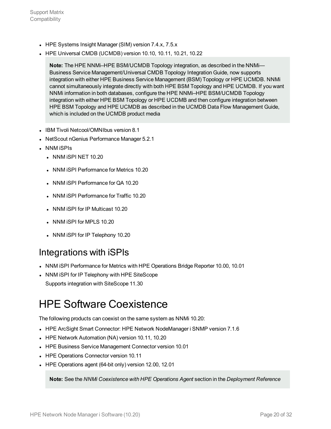- HPE Systems Insight Manager (SIM) version 7.4.x, 7.5.x
- HPE Universal CMDB (UCMDB) version 10.10, 10.11, 10.21, 10.22

**Note:** The HPE NNMi–HPE BSM/UCMDB Topology integration, as described in the NNMi— Business Service Management/Universal CMDB Topology Integration Guide, now supports integration with either HPE Business Service Management (BSM) Topology or HPE UCMDB. NNMi cannot simultaneously integrate directly with both HPE BSM Topology and HPE UCMDB. If you want NNMi information in both databases, configure the HPE NNMi–HPE BSM/UCMDB Topology integration with either HPE BSM Topology or HPE UCDMB and then configure integration between HPE BSM Topology and HPE UCMDB as described in the UCMDB Data Flow Management Guide, which is included on the UCMDB product media

- IBM Tivoli Netcool/OMNIbus version 8.1
- **NetScout nGenius Performance Manager 5.2.1**
- NNM iSPIs
	- $\bullet$  NNM iSPI NET 10.20
	- NNM iSPI Performance for Metrics 10.20
	- NNM iSPI Performance for QA 10.20
	- NNM iSPI Performance for Traffic 10.20
	- NNM iSPI for IP Multicast 10.20
	- NNM iSPI for MPLS 10.20
	- NNM iSPI for IP Telephony 10.20

### <span id="page-19-0"></span>Integrations with iSPIs

- NNM iSPI Performance for Metrics with HPE Operations Bridge Reporter 10.00, 10.01
- NNM iSPI for IP Telephony with HPE SiteScope Supports integration with SiteScope 11.30

## <span id="page-19-1"></span>HPE Software Coexistence

The following products can coexist on the same system as NNMi 10.20:

- HPE ArcSight Smart Connector: HPE Network NodeManager i SNMP version 7.1.6
- HPE Network Automation (NA) version 10.11, 10.20
- HPE Business Service Management Connector version 10.01
- HPE Operations Connector version 10.11
- HPE Operations agent (64-bit only) version 12.00, 12.01

**Note:** See the *NNMi Coexistence with HPE Operations Agent* section in the *Deployment Reference*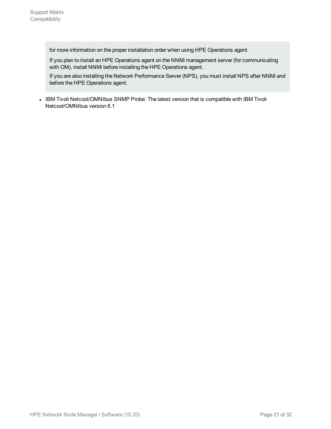for more information on the proper installation order when using HPE Operations agent.

If you plan to install an HPE Operations agent on the NNMi management server (for communicating with OM), install NNMi before installing the HPE Operations agent.

If you are also installing the Network Performance Server (NPS), you must install NPS after NNMi and before the HPE Operations agent.

• IBM Tivoli Netcool/OMNIbus SNMP Probe: The latest version that is compatible with IBM Tivoli Netcool/OMNIbus version 8.1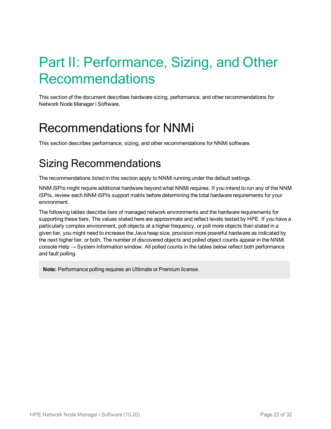# <span id="page-21-0"></span>Part II: Performance, Sizing, and Other Recommendations

<span id="page-21-1"></span>This section of the document describes hardware sizing, performance, and other recommendations for Network Node Manager i Software.

# Recommendations for NNMi

<span id="page-21-2"></span>This section describes performance, sizing, and other recommendations for NNMi software.

# Sizing Recommendations

The recommendations listed in this section apply to NNMi running under the default settings.

NNM iSPIs might require additional hardware beyond what NNMi requires. If you intend to run any of the NNM iSPIs, review each NNM iSPIs support matrix before determining the total hardware requirements for your environment.

The following tables describe tiers of managed network environments and the hardware requirements for supporting these tiers. The values stated here are approximate and reflect levels tested by HPE. If you have a particularly complex environment, poll objects at a higher frequency, or poll more objects than stated in a given tier, you might need to increase the Java heap size, provision more powerful hardware as indicated by the next higher tier, or both. The number of discovered objects and polled object counts appear in the NNMi console Help → System Information window. All polled counts in the tables below reflect both performance and fault polling.

**Note:** Performance polling requires an Ultimate or Premium license.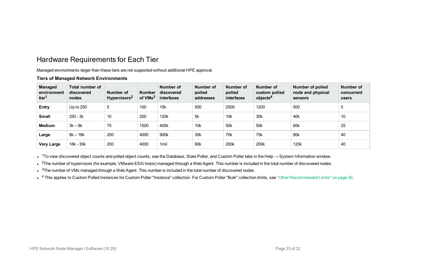## <span id="page-22-0"></span>Hardware Requirements for Each Tier

Managed environments larger than these tiers are not supported without additional HPE approval.

#### **Tiers of Managed Network Environments**

| <b>Managed</b><br>environment<br>tier <sup>1</sup> | Total number of<br>discovered<br>nodes | Number of<br>Hypervisors <sup>2</sup> | <b>Number</b><br>of VMs <sup>3</sup> | Number of<br>discovered<br>interfaces | Number of<br>polled<br>addresses | Number of<br>polled<br>interfaces | Number of<br>custom polled<br>objects <sup>4</sup> | Number of polled<br>node and physical<br>sensors | Number of<br>concurrent<br>users |
|----------------------------------------------------|----------------------------------------|---------------------------------------|--------------------------------------|---------------------------------------|----------------------------------|-----------------------------------|----------------------------------------------------|--------------------------------------------------|----------------------------------|
| Entry                                              | Up to $250$                            | 5                                     | 100                                  | 15k                                   | 500                              | 2500                              | 1200                                               | 500                                              | 5                                |
| <b>Small</b>                                       | $250 - 3k$                             | 10                                    | 200                                  | 120k                                  | 5k                               | 10 <sub>k</sub>                   | 30k                                                | 40 <sub>k</sub>                                  | 10                               |
| Medium                                             | $3k - 8k$                              | 75                                    | 1500                                 | 400k                                  | 10k                              | 50 <sub>k</sub>                   | 50 <sub>k</sub>                                    | 60 <sub>k</sub>                                  | 25                               |
| Large                                              | $8k - 18k$                             | 200                                   | 4000                                 | 900k                                  | 30k                              | 70 <sub>k</sub>                   | 75k                                                | 80 <sub>k</sub>                                  | 40                               |
| <b>Very Large</b>                                  | 18k - 30k                              | 200                                   | 4000                                 | 1 <sub>mil</sub>                      | 60 <sub>k</sub>                  | 200k                              | 200k                                               | 120k                                             | 40                               |

• <sup>1</sup>To view discovered object counts and polled object counts, see the Database, State Poller, and Custom Poller tabs in the Help  $\rightarrow$  System Information window.

 $\bullet$ <sup>2</sup>The number of hypervisors (for example, VMware ESXi hosts) managed through a Web Agent. This number is included in the total number of discovered nodes.

 $\cdot$   $3$ The number of VMs managed through a Web Agent. This number is included in the total number of discovered nodes.

• <sup>4</sup> This applies to Custom Polled Instances for Custom Poller "Instance" collection. For Custom Poller "Bulk" collection limits, see "Other [Recommended](#page-29-0) Limits" on page 30.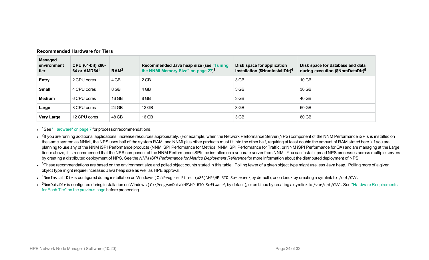| <b>Managed</b><br>environment<br>tier | CPU (64-bit) x86-<br>64 or AMD64 <sup>1</sup> | RAM <sup>2</sup> | Recommended Java heap size (see "Tuning"<br>the NNMi Memory Size" on page 27) <sup>3</sup> | Disk space for application<br>installation (\$NnmInstallDir) <sup>4</sup> | Disk space for database and data<br>during execution (\$NnmDataDir) <sup>5</sup> |
|---------------------------------------|-----------------------------------------------|------------------|--------------------------------------------------------------------------------------------|---------------------------------------------------------------------------|----------------------------------------------------------------------------------|
| Entry                                 | 2 CPU cores                                   | 4 GB             | 2 GB                                                                                       | 3 GB                                                                      | 10 GB                                                                            |
| <b>Small</b>                          | 4 CPU cores                                   | 8 GB             | 4 GB                                                                                       | 3 GB                                                                      | 30 GB                                                                            |
| Medium                                | 6 CPU cores                                   | 16 GB            | 8 GB                                                                                       | 3 GB                                                                      | 40 GB                                                                            |
| Large                                 | 8 CPU cores                                   | 24 GB            | 12 GB                                                                                      | 3 GB                                                                      | 60 GB                                                                            |
| <b>Very Large</b>                     | 12 CPU cores                                  | 48 GB            | 16 GB                                                                                      | 3 GB                                                                      | 80 GB                                                                            |

#### **Recommended Hardware for Tiers**

• <sup>1</sup>See ["Hardware"](#page-6-3) on page 7 for processor recommendations.

• <sup>2</sup>If you are running additional applications, increase resources appropriately. (For example, when the Network Performance Server (NPS) component of the NNM Performance iSPIs is installed on the same system as NNMi, the NPS uses half of the system RAM, and NNMi plus other products must fit into the other half, requiring at least double the amount of RAM stated here.) If you are planning to use any of the NNM iSPI Performance products (NNM iSPI Performance for Metrics, NNM iSPI Performance for NNM iSPI Performance for QA) and are managing at the Large tier or above, it is recommended that the NPS component of the NNM Performance iSPIs be installed on a separate server from NNMi. You can install spread NPS processes across multiple servers by creating a distributed deployment of NPS. See the *NNM iSPI Performance for Metrics Deployment Reference* for more information about the distributed deployment of NPS.

 $\bullet$  <sup>3</sup>These recommendations are based on the environment size and polled object counts stated in this table. Polling fewer of a given object type might use less Java heap. Polling more of a given object type might require increased Java heap size as well as HPE approval.

•  $4$ NnmInstallDir is configured during installation on Windows (C:\Program Files (x86)\HP\HP BTO Software\ by default), or on Linux by creating a symlink to /opt/0V/.

•  $5$ NnmDataDir is configured during installation on Windows (C:\ProgramData\HP\HP BTO Software\ by default), or on Linux by creating a symlink to /var/opt/OV/ . See "Hardware [Requirements](#page-22-0) for Each Tier" on the [previous](#page-22-0) page before proceeding.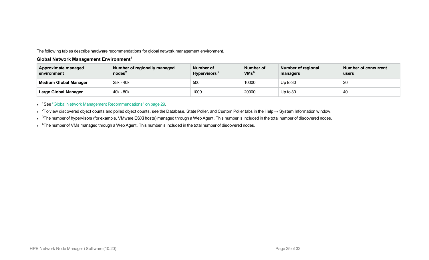The following tables describe hardware recommendations for global network management environment.

#### **Global Network Management Environment<sup>1</sup>**

| <b>Approximate managed</b><br>environment | Number of regionally managed<br>nodes <sup>2</sup> | Number of<br>Hypervisors <sup>3</sup> | Number of<br>VMs <sup>4</sup> | Number of regional<br>managers | Number of concurrent<br>users |
|-------------------------------------------|----------------------------------------------------|---------------------------------------|-------------------------------|--------------------------------|-------------------------------|
| <b>Medium Global Manager</b>              | 25k - 40k                                          | 500                                   | 10000                         | $Up$ to 30                     | 20                            |
| <b>Large Global Manager</b>               | 40k - 80k                                          | 1000                                  | 20000                         | $Up$ to 30                     | 40                            |

• <sup>1</sup>See "Global Network Management [Recommendations"](#page-28-1) on page 29.

• <sup>2</sup>To view discovered object counts and polled object counts, see the Database, State Poller, and Custom Poller tabs in the Help  $\rightarrow$  System Information window.

 $\cdot$   $\,{}^{3}$ The number of hypervisors (for example, VMware ESXi hosts) managed through a Web Agent. This number is included in the total number of discovered nodes.

• <sup>4</sup>The number of VMs managed through a Web Agent. This number is included in the total number of discovered nodes.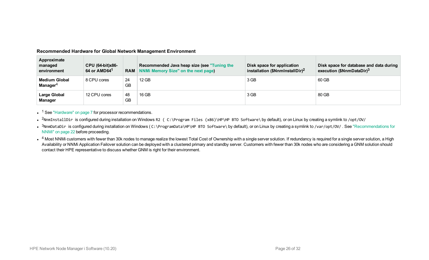| Recommended Hardware for Global Network Management Environment |  |  |  |
|----------------------------------------------------------------|--|--|--|
|                                                                |  |  |  |

| Approximate<br>managed<br>environment | CPU (64-bit)x86-<br>64 or AMD64 <sup>1</sup> |                 | Recommended Java heap size (see "Tuning the<br><b>RAM</b> NNMi Memory Size" on the next page) | Disk space for application<br>installation (\$NnmInstallDir) <sup>2</sup> | Disk space for database and data during<br>execution (\$NnmDataDir) <sup>3</sup> |
|---------------------------------------|----------------------------------------------|-----------------|-----------------------------------------------------------------------------------------------|---------------------------------------------------------------------------|----------------------------------------------------------------------------------|
| <b>Medium Global</b><br>Manager $4$   | 8 CPU cores                                  | 24<br><b>GB</b> | 12 GB                                                                                         | 3 GB                                                                      | 60 GB                                                                            |
| <b>Large Global</b><br><b>Manager</b> | 12 CPU cores                                 | 48<br><b>GB</b> | 16 GB                                                                                         | 3 GB                                                                      | 80 GB                                                                            |

 $\cdot$  <sup>1</sup> See ["Hardware"](#page-6-3) on page 7 for processor recommendations.

- <sup>2</sup>NnmInstallDir is configured during installation on Windows R2 (C:\Program Files (x86)\HP\HP BTO Software\ by default), or on Linux by creating a symlink to /opt/0V/
- $3$ NnmDataDir is configured during installation on Windows (C:\ProgramData\HP\HP BTO Software\ by default), or on Linux by creating a symlink to /var/opt/0V/ . See ["Recommendations](#page-21-1) for [NNMi"](#page-21-1) on page 22 before proceeding.
- $\bullet^{-4}$  Most NNMi customers with fewer than 30k nodes to manage realize the lowest Total Cost of Ownership with a single server solution. If redundancy is required for a single server solution, a High Availability or NNMi Application Failover solution can be deployed with a clustered primary and standby server. Customers with fewer than 30k nodes who are considering a GNM solution should contact their HPE representative to discuss whether GNM is right for their environment.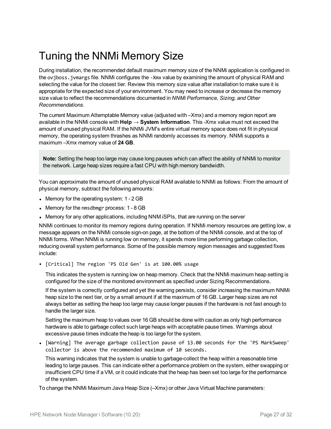# <span id="page-26-0"></span>Tuning the NNMi Memory Size

During installation, the recommended default maximum memory size of the NNMi application is configured in the ovjboss.jvmargs file. NNMi configures the -Xmx value by examining the amount of physical RAM and selecting the value for the closest tier. Review this memory size value after installation to make sure it is appropriate for the expected size of your environment. You may need to increase or decrease the memory size value to reflect the recommendations documented in *NNMi Performance, Sizing, and Other Recommendations*.

The current Maximum Attemptable Memory value (adjusted with –Xmx) and a memory region report are available in the NNMi console with **Help → System Information**. This -Xmx value must not exceed the amount of unused physical RAM. If the NNMi JVM's entire virtual memory space does not fit in physical memory, the operating system thrashes as NNMi randomly accesses its memory. NNMi supports a maximum –Xmx memory value of **24 GB**.

**Note:** Setting the heap too large may cause long pauses which can affect the ability of NNMi to monitor the network. Large heap sizes require a fast CPU with high memory bandwidth.

You can approximate the amount of unused physical RAM available to NNMi as follows: From the amount of physical memory, subtract the following amounts:

- Memory for the operating system:  $1 2$  GB
- Memory for the nmsdbmgr process: 1 8 GB
- Memory for any other applications, including NNM iSPIs, that are running on the server

NNMi continues to monitor its memory regions during operation. If NNMi memory resources are getting low, a message appears on the NNMi console sign-on page, at the bottom of the NNMi console, and at the top of NNMi forms. When NNMi is running low on memory, it spends more time performing garbage collection, reducing overall system performance. Some of the possible memory region messages and suggested fixes include:

• [Critical] The region 'PS Old Gen' is at 100.00% usage

This indicates the system is running low on heap memory. Check that the NNMi maximum heap setting is configured for the size of the monitored environment as specified under Sizing Recommendations.

If the system is correctly configured and yet the warning persists, consider increasing the maximum NNMi heap size to the next tier, or by a small amount if at the maximum of 16 GB. Larger heap sizes are not always better as setting the heap too large may cause longer pauses if the hardware is not fast enough to handle the larger size.

Setting the maximum heap to values over 16 GB should be done with caution as only high performance hardware is able to garbage collect such large heaps with acceptable pause times. Warnings about excessive pause times indicate the heap is too large for the system.

• [Warning] The average garbage collection pause of 13.00 seconds for the 'PS MarkSweep' collector is above the recommended maximum of 10 seconds.

This warning indicates that the system is unable to garbage-collect the heap within a reasonable time leading to large pauses. This can indicate either a performance problem on the system, either swapping or insufficient CPU time if a VM, or it could indicate that the heap has been set too large for the performance of the system.

To change the NNMi Maximum Java Heap Size (–Xmx) or other Java Virtual Machine parameters: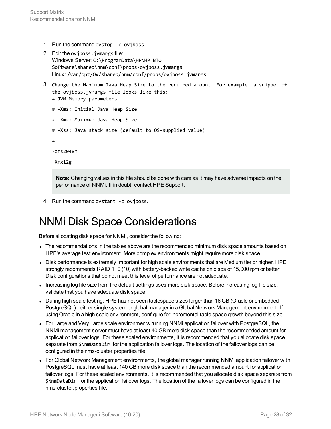- 1. Run the command ovstop -c ovjboss.
- 2. Edit the ovjboss.jvmargs file: Windows Server: C:\ProgramData\HP\HP BTO Software\shared\nnm\conf\props\ovjboss.jvmargs Linux: /var/opt/OV/shared/nnm/conf/props/ovjboss.jvmargs
- 3. Change the Maximum Java Heap Size to the required amount. For example, a snippet of the ovjboss.jvmargs file looks like this:
	- # JVM Memory parameters
	- # -Xms: Initial Java Heap Size
	- # -Xmx: Maximum Java Heap Size
	- # -Xss: Java stack size (default to OS-supplied value)
	- #
	- -Xms2048m
	- -Xmx12g

**Note:** Changing values in this file should be done with care as it may have adverse impacts on the performance of NNMi. If in doubt, contact HPE Support.

<span id="page-27-0"></span>4. Run the command ovstart -c ovjboss.

## NNMi Disk Space Considerations

Before allocating disk space for NNMi, consider the following:

- The recommendations in the tables above are the recommended minimum disk space amounts based on HPE's average test environment. More complex environments might require more disk space.
- Disk performance is extremely important for high scale environments that are Medium tier or higher. HPE strongly recommends RAID 1+0 (10) with battery-backed write cache on discs of 15,000 rpm or better. Disk configurations that do not meet this level of performance are not adequate.
- Increasing log file size from the default settings uses more disk space. Before increasing log file size, validate that you have adequate disk space.
- During high scale testing, HPE has not seen tablespace sizes larger than 16 GB (Oracle or embedded PostgreSQL) - either single system or global manager in a Global Network Management environment. If using Oracle in a high scale environment, configure for incremental table space growth beyond this size.
- For Large and Very Large scale environments running NNMi application failover with PostgreSQL, the NNMi management server must have at least 40 GB more disk space than the recommended amount for application failover logs. For these scaled environments, it is recommended that you allocate disk space separate from \$NnmDataDir for the application failover logs. The location of the failover logs can be configured in the nms-cluster.properties file.
- For Global Network Management environments, the global manager running NNMi application failover with PostgreSQL must have at least 140 GB more disk space than the recommended amount for application failover logs. For these scaled environments, it is recommended that you allocate disk space separate from \$NnmDataDir for the application failover logs. The location of the failover logs can be configured in the nms-cluster.properties file.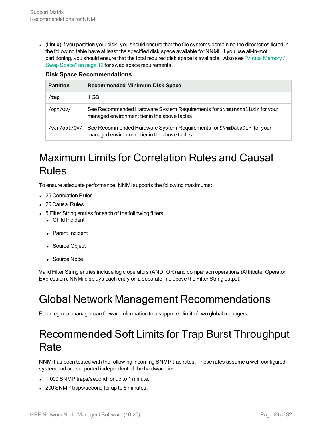<sup>l</sup> (Linux) if you partition your disk, you should ensure that the file systems containing the directories listed in the following table have at least the specified disk space available for NNMi. If you use all-in-root partitioning, you should ensure that the total required disk space is available. Also see "Virtual [Memory](#page-11-0) / Swap [Space"](#page-11-0) on page 12 for swap space requirements.

|  | <b>Disk Space Recommendations</b> |
|--|-----------------------------------|
|--|-----------------------------------|

| <b>Partition</b> | <b>Recommended Minimum Disk Space</b>                                                                                      |
|------------------|----------------------------------------------------------------------------------------------------------------------------|
| /tmp             | 1 GB                                                                                                                       |
| /opt/0V/         | See Recommended Hardware System Requirements for \$NnmInstallDir for your<br>managed environment tier in the above tables. |
| /var/opt/0V/     | See Recommended Hardware System Requirements for \$NnmDataDir for your<br>managed environment tier in the above tables.    |

## <span id="page-28-0"></span>Maximum Limits for Correlation Rules and Causal Rules

To ensure adequate performance, NNMi supports the following maximums:

- 25 Correlation Rules
- 25 Causal Rules
- 5 Filter String entries for each of the following filters:
	- Child Incident
	- Parent Incident
	- Source Object
	- Source Node

<span id="page-28-1"></span>Valid Filter String entries include logic operators (AND, OR) and comparison operations (Attribute, Operator, Expression). NNMi displays each entry on a separate line above the Filter String output.

## Global Network Management Recommendations

<span id="page-28-2"></span>Each regional manager can forward information to a supported limit of two global managers.

## Recommended Soft Limits for Trap Burst Throughput **Rate**

NNMi has been tested with the following incoming SNMP trap rates. These rates assume a well-configured system and are supported independent of the hardware tier:

- 1,000 SNMP traps/second for up to 1 minute.
- 200 SNMP traps/second for up to 5 minutes.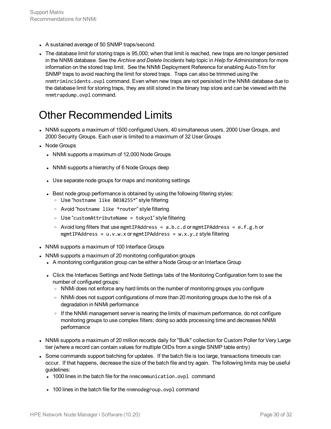- A sustained average of 50 SNMP traps/second.
- The database limit for storing traps is 95,000; when that limit is reached, new traps are no longer persisted in the NNMi database. See the *Archive and Delete Incidents* help topic in *Help for Administrators* for more information on the stored trap limit. See the NNMi Deployment Reference for enabling Auto-Trim for SNMP traps to avoid reaching the limit for stored traps. Traps can also be trimmed using the nnmtrimincidents.ovpl command. Even when new traps are not persisted in the NNMi database due to the database limit for storing traps, they are still stored in the binary trap store and can be viewed with the nnmtrapdump.ovpl command.

## <span id="page-29-0"></span>Other Recommended Limits

- NNMi supports a maximum of 1500 configured Users, 40 simultaneous users, 2000 User Groups, and 2000 Security Groups. Each user is limited to a maximum of 32 User Groups
- Node Groups
	- NNMi supports a maximum of 12,000 Node Groups
	- NNMi supports a hierarchy of 6 Node Groups deep
	- Use separate node groups for maps and monitoring settings
	- Best node group performance is obtained by using the following filtering styles:
		- <sup>o</sup> Use "hostname like B038255\*" style filtering
		- <sup>o</sup> Avoid "hostname like \*router" style filtering
		- <sup>o</sup> Use "customAttributeName = tokyo1" style filtering
		- $\circ$  Avoid long filters that use mgmtIPAddress = a.b.c.d or mgmtIPAddress = e.f.g.h or  $mgntIPAddress = u.v.w.x or mgmtIPAddress = w.x.y.z style filtering$
- NNMi supports a maximum of 100 Interface Groups
- NNMi supports a maximum of 20 monitoring configuration groups
	- A monitoring configuration group can be either a Node Group or an Interface Group
	- Click the Interfaces Settings and Node Settings tabs of the Monitoring Configuration form to see the number of configured groups:
		- o NNMi does not enforce any hard limits on the number of monitoring groups you configure
		- o NNMi does not support configurations of more than 20 monitoring groups due to the risk of a degradation in NNMi performance
		- $\circ$  If the NNM management server is nearing the limits of maximum performance, do not configure monitoring groups to use complex filters; doing so adds processing time and decreases NNMi performance
- NNMi supports a maximum of 20 million records daily for "Bulk" collection for Custom Poller for Very Large tier (where a record can contain values for multiple OIDs from a single SNMP table entry)
- Some commands support batching for updates. If the batch file is too large, transactions timeouts can occur. If that happens, decrease the size of the batch file and try again. The following limits may be useful guidelines:
	- 1000 lines in the batch file for the nnmcommunication.ovpl command
	- 100 lines in the batch file for the nnmnodegroup.ovpl command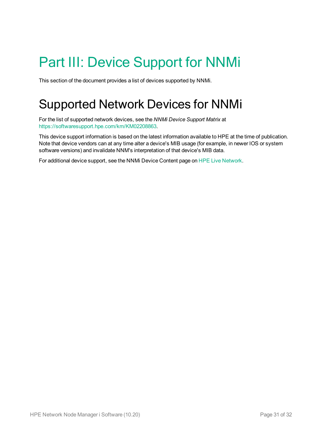# <span id="page-30-0"></span>Part III: Device Support for NNMi

<span id="page-30-1"></span>This section of the document provides a list of devices supported by NNMi.

# Supported Network Devices for NNMi

For the list of supported network devices, see the *NNMi Device Support Matrix* at [https://softwaresupport.hpe.com/km/KM02208863.](https://softwaresupport.hpe.com/km/KM02208863)

This device support information is based on the latest information available to HPE at the time of publication. Note that device vendors can at any time alter a device's MIB usage (for example, in newer IOS or system software versions) and invalidate NNM's interpretation of that device's MIB data.

For additional device support, see the NNMi Device Content page on HPE Live [Network.](https://hpln.hpe.com/contentoffering/nnmi-device-content-packs)